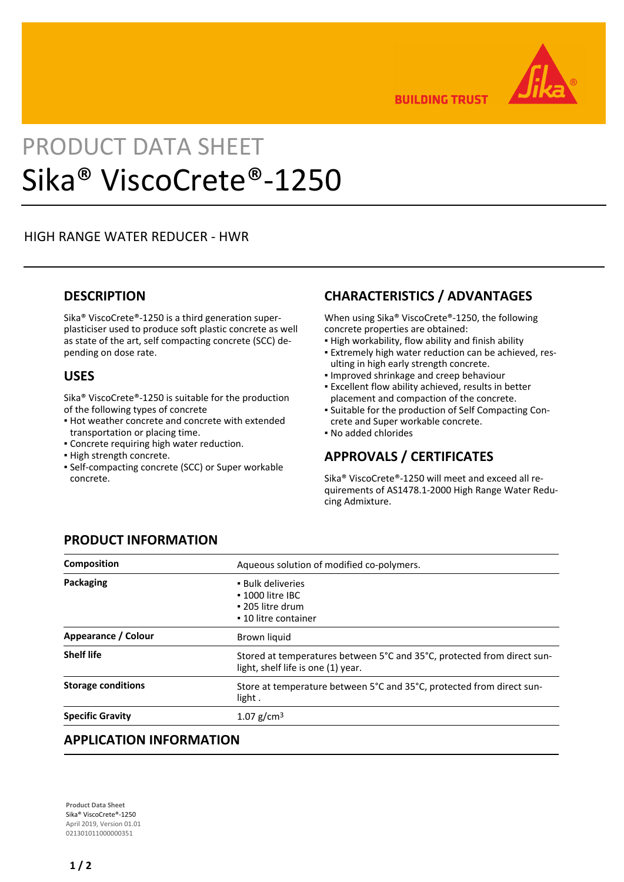

**BUILDING TRUST** 

# PRODUCT DATA SHEET Sika® ViscoCrete®-1250

### HIGH RANGE WATER REDUCER - HWR

#### **DESCRIPTION**

Sika® ViscoCrete®-1250 is a third generation superplasticiser used to produce soft plastic concrete as well as state of the art, self compacting concrete (SCC) depending on dose rate.

#### **USES**

Sika® ViscoCrete®-1250 is suitable for the production of the following types of concrete

- Hot weather concrete and concrete with extended transportation or placing time.
- Concrete requiring high water reduction.
- **.** High strength concrete.
- **-** Self-compacting concrete (SCC) or Super workable concrete.

## **CHARACTERISTICS / ADVANTAGES**

When using Sika® ViscoCrete®-1250, the following concrete properties are obtained:

- **.** High workability, flow ability and finish ability
- Extremely high water reduction can be achieved, res-▪ ulting in high early strength concrete.
- Improved shrinkage and creep behaviour
- **Excellent flow ability achieved, results in better** placement and compaction of the concrete.
- Suitable for the production of Self Compacting Con-▪ crete and Super workable concrete.
- No added chlorides

# **APPROVALS / CERTIFICATES**

Sika® ViscoCrete®-1250 will meet and exceed all requirements of AS1478.1-2000 High Range Water Reducing Admixture.

| <b>Composition</b>        | Aqueous solution of modified co-polymers.                                                                     |
|---------------------------|---------------------------------------------------------------------------------------------------------------|
| <b>Packaging</b>          | • Bulk deliveries<br>$\cdot$ 1000 litre IBC<br>• 205 litre drum<br>• 10 litre container                       |
| Appearance / Colour       | Brown liquid                                                                                                  |
| <b>Shelf life</b>         | Stored at temperatures between 5°C and 35°C, protected from direct sun-<br>light, shelf life is one (1) year. |
| <b>Storage conditions</b> | Store at temperature between 5°C and 35°C, protected from direct sun-<br>light.                               |
| <b>Specific Gravity</b>   | 1.07 $g/cm^3$                                                                                                 |

# **PRODUCT INFORMATION**

#### **APPLICATION INFORMATION**

**Product Data Sheet** Sika® ViscoCrete®-1250 April 2019, Version 01.01 021301011000000351